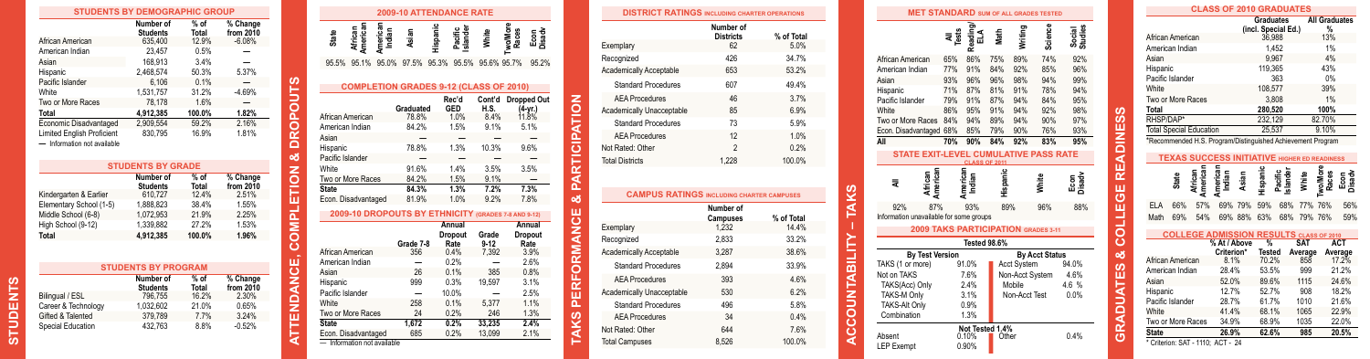| <b>STUDENTS BY DEMOGRAPHIC GROUP</b>                             |                              |                 |                       |
|------------------------------------------------------------------|------------------------------|-----------------|-----------------------|
|                                                                  | Number of<br><b>Students</b> | % of<br>Total   | % Change<br>from 2010 |
| African American                                                 | 635,400                      | 12.9%           | $-6.08%$              |
| American Indian                                                  | 23.457                       | 0.5%            |                       |
| Asian                                                            | 168.913                      | 3.4%            |                       |
| Hispanic                                                         | 2.468.574                    | 50.3%           | 5.37%                 |
| Pacific Islander                                                 | 6.106                        | 0.1%            |                       |
| White                                                            | 1.531.757                    | 31.2%           | $-4.69%$              |
| Two or More Races                                                | 78.178                       | 1.6%            |                       |
| Total                                                            | 4.912.385                    | 100.0%          | 1.82%                 |
| Economic Disadvantaged                                           | 2.909.554                    | 59.2%           | 2.16%                 |
| <b>Limited English Proficient</b><br>- Information not available | 830.795                      | 16.9%           | 1.81%                 |
|                                                                  | <b>STUDENTS BY GRADE</b>     |                 |                       |
|                                                                  | Number of<br><b>Students</b> | $%$ of<br>Total | % Change<br>from 2010 |
| Kindergarten & Earlier                                           | 610.727                      | 12.4%           | 2.51%                 |

|                         | <b>Students</b> | Total  | from 2010 |
|-------------------------|-----------------|--------|-----------|
| Kindergarten & Earlier  | 610.727         | 12.4%  | 2.51%     |
| Elementary School (1-5) | 1.888.823       | 38.4%  | 1.55%     |
| Middle School (6-8)     | 1.072.953       | 21.9%  | 2.25%     |
| High School (9-12)      | 1.339.882       | 27.2%  | 1.53%     |
| <b>Total</b>            | 4.912.385       | 100.0% | 1.96%     |
|                         |                 |        |           |

|                     | <b>STUDENTS BY PROGRAM</b>   |                 |                       |
|---------------------|------------------------------|-----------------|-----------------------|
|                     | Number of<br><b>Students</b> | $%$ of<br>Total | % Change<br>from 2010 |
| Bilingual / ESL     | 796.755                      | 16.2%           | 2.30%                 |
| Career & Technology | 1.032.602                    | 21.0%           | 0.65%                 |
| Gifted & Talented   | 379.789                      | 7.7%            | 3.24%                 |
| Special Education   | 432.763                      | 8.8%            | $-0.52%$              |

**STUDENTS**

**STUDENTS** 

|                                            |                           |                             |                    | <b>2009-10 ATTENDANCE RATE</b> |          |                             |                                                     |                                        |                |
|--------------------------------------------|---------------------------|-----------------------------|--------------------|--------------------------------|----------|-----------------------------|-----------------------------------------------------|----------------------------------------|----------------|
|                                            | <b>State</b>              | American<br>African         | American<br>Indian | Asian                          | Hispanic | Pacific<br>Islander         | White                                               | <b>Two/More</b><br>Races               | Econ<br>Disady |
|                                            | 95.5%                     | 95.1%                       | 95.0%              | 97.5%                          | 95.3%    | 95.5%                       | 95.6% 95.7%                                         |                                        | 95.2%          |
|                                            |                           |                             |                    |                                |          |                             | <b>COMPLETION GRADES 9-12 (CLASS OF 2010)</b>       |                                        |                |
| <b>FENDANCE, COMPLETION &amp; DROPOUTS</b> |                           | African American            |                    | Graduated<br>78.8%             |          | Rec'd<br><b>GED</b><br>1.0% | Cont'd<br>H.S.<br>8.4%                              | <b>Dropped Out</b><br>(4-yr.)<br>11.8% |                |
|                                            | American Indian<br>Asian  |                             |                    | 84.2%                          |          | 1.5%                        | 9.1%                                                | 5.1%                                   |                |
|                                            | Hispanic                  |                             |                    | 78.8%                          |          | 1.3%                        | 10.3%                                               | 9.6%                                   |                |
|                                            | Pacific Islander<br>White |                             |                    | 91.6%                          |          | 1.4%                        | 3.5%                                                | 3.5%                                   |                |
|                                            | <b>State</b>              | Two or More Races           |                    | 84.2%<br>84.3%                 |          | 1.5%<br>1.3%                | 9.1%<br>7.2%                                        | 7.3%                                   |                |
|                                            |                           | Econ. Disadvantaged         |                    | 81.9%                          |          | 1.0%                        | 9.2%                                                | 7.8%                                   |                |
|                                            |                           |                             |                    |                                |          |                             | 2009-10 DROPOUTS BY ETHNICITY (GRADES 7-8 AND 9-12) |                                        |                |
|                                            |                           |                             |                    | Grade 7-8                      |          | Annual<br>Dropout<br>Rate   | Grade<br>$9 - 12$                                   | Annual<br>Dropout<br>Rate              |                |
|                                            |                           | African American            |                    | 356                            |          | 0.4%                        | 7,392                                               |                                        | 3.9%           |
|                                            | American Indian<br>Asian  |                             |                    | 26                             |          | 0.2%<br>0.1%                | 385                                                 |                                        | 2.6%<br>0.8%   |
|                                            | Hispanic                  |                             |                    | 999                            |          | 0.3%                        | 19.597                                              |                                        | 3.1%           |
|                                            | Pacific Islander          |                             |                    |                                |          | 10.0%                       |                                                     |                                        | 2.5%           |
|                                            | White                     |                             |                    | 258                            |          | 0.1%                        | 5,377                                               |                                        | 1.1%           |
|                                            |                           | Two or More Races           |                    | 24                             |          | 0.2%                        | 246                                                 |                                        | 1.3%           |
|                                            | <b>State</b>              | Econ. Disadvantaged         |                    | 1,672<br>685                   |          | 0.2%<br>0.2%                | 33.235<br>13,099                                    |                                        | 2.4%<br>2.1%   |
| €                                          |                           | - Information not available |                    |                                |          |                             |                                                     |                                        |                |

| <b>DISTRICT RATINGS INCLUDING CHARTER OPERATIONS</b> |                               |                                                                  |
|------------------------------------------------------|-------------------------------|------------------------------------------------------------------|
|                                                      | Number of<br><b>Districts</b> | % of Total                                                       |
| Exemplary                                            | 62                            | 5.0%                                                             |
| Recognized                                           | 426                           | 34.7%                                                            |
| <b>Academically Acceptable</b>                       | 653                           | 53.2%                                                            |
| <b>Standard Procedures</b>                           | 607                           | 49.4%                                                            |
| <b>AEA Procedures</b>                                | 46                            | 3.7%                                                             |
| Academically Unacceptable                            | 85                            | 6.9%                                                             |
| Standard Procedures                                  | 73                            | 5.9%                                                             |
| <b>AFA Procedures</b>                                | 12                            | 1.0%                                                             |
| Not Rated: Other                                     | $\mathfrak{p}$                | 0.2%                                                             |
| <b>Total Districts</b>                               | 1.228                         | 100.0%                                                           |
|                                                      |                               |                                                                  |
| <b>CAMPUS RATINGS INCLUDING CHARTER CAMPUSES</b>     |                               |                                                                  |
|                                                      | Number of<br><b>Campuses</b>  | % of Total                                                       |
| Exemplary                                            | 1.232                         |                                                                  |
| Recognized                                           | 2.833                         |                                                                  |
| <b>Academically Acceptable</b>                       | 3.287                         |                                                                  |
| <b>Standard Procedures</b>                           | 2.894                         |                                                                  |
| <b>AEA Procedures</b>                                | 393                           |                                                                  |
|                                                      | 530                           |                                                                  |
| Standard Procedures                                  | 496                           |                                                                  |
| Academically Unacceptable<br><b>AEA Procedures</b>   | 34                            | 14 4%<br>33.2%<br>38.6%<br>33.9%<br>4.6%<br>6.2%<br>5.8%<br>0.4% |
| Not Rated: Other                                     | 644                           | 7.6%                                                             |

**TAKS PERFORMANCE & PARTICIPATION**

z

÷

| <b>MET STANDARD</b> SUM OF ALL GRADES TESTED |                                                                      |                          |       |                    |                       |                            |
|----------------------------------------------|----------------------------------------------------------------------|--------------------------|-------|--------------------|-----------------------|----------------------------|
|                                              | ខ្លឹន                                                                | Reading                  | Math  | Writing            | Science               | Social<br>Studies          |
| African American                             | 65%                                                                  | 86%                      | 75%   | 89%                | 74%                   | 92%                        |
| American Indian                              | 77%                                                                  | 91%                      | 84%   | 92%                | 85%                   | 96%                        |
| Asian                                        | 93%                                                                  | 96%                      | 96%   | 98%                | 94%                   | 99%                        |
| Hispanic                                     | 71%                                                                  | 87%                      | 81%   | 91%                | 78%                   | 94%                        |
| Pacific Islander                             | 79%                                                                  | 91%                      | 87%   | 94%                | 84%                   | 95%                        |
| White                                        | 86%                                                                  | 95%                      | 91%   | 94%                | 92%                   | 98%                        |
| Two or More Races                            | 84%                                                                  | 94%                      | 89%   | 94%                | 90%                   | 97%                        |
| Econ. Disadvantaged 68%                      |                                                                      | 85%                      |       | 79% 90%            | 76%                   | 93%                        |
| All                                          | 70%                                                                  | 90%                      | 84%   | 92%                | 83%                   | 95%                        |
|                                              | <b>STATE EXIT-LEVEL CUMULATIVE PASS RATE</b><br><b>CLASS OF 2011</b> |                          |       |                    |                       |                            |
| American<br>African<br>₹                     | merican                                                              | Indian                   |       |                    |                       | Econ<br><sub>Disad</sub> y |
| 92%<br>87%                                   |                                                                      | 93%                      |       | 89%                | 96%                   | 88%                        |
| Information unavailable for some groups      |                                                                      |                          |       |                    |                       |                            |
|                                              | 2009 TAKS PARTICIPATION GRADES 3-11                                  |                          |       |                    |                       |                            |
|                                              |                                                                      |                          |       |                    |                       |                            |
|                                              |                                                                      | <b>Tested 98.6%</b>      |       |                    |                       |                            |
| <b>By Test Version</b>                       |                                                                      |                          |       |                    | <b>By Acct Status</b> |                            |
| TAKS (1 or more)                             |                                                                      | 91.0%                    |       | <b>Acct System</b> |                       | 94.0%                      |
| Not on TAKS                                  |                                                                      | 7.6%                     |       | Non-Acct System    |                       | 4.6%                       |
| TAKS(Acc) Only                               |                                                                      | 2.4%                     |       | Mobile             |                       | 4.6%                       |
| <b>TAKS-M Only</b>                           |                                                                      | 3.1%                     |       | Non-Acct Test      |                       | 0.0%                       |
| <b>TAKS-Alt Only</b>                         |                                                                      | 0.9%                     |       |                    |                       |                            |
| Combination                                  |                                                                      | 1.3%                     |       |                    |                       |                            |
| Absent                                       |                                                                      | Not Tested 1.4%<br>0.10% | Other |                    |                       | 0.4%                       |

**ACCOUNTABILITY – TAKS**

|                            |       |                                | <b>CLASS OF 2010 GRADUATES</b>                              |       |                                |                     |                       |                           |                              |
|----------------------------|-------|--------------------------------|-------------------------------------------------------------|-------|--------------------------------|---------------------|-----------------------|---------------------------|------------------------------|
|                            |       |                                |                                                             |       | <b>Graduates</b>               | (incl. Special Ed.) |                       | <b>All Graduates</b><br>% |                              |
| African American           |       |                                |                                                             |       | 36.988                         |                     |                       | 13%                       |                              |
| American Indian            |       |                                |                                                             |       |                                | 1.452               |                       | 1%                        |                              |
| Asian                      |       |                                |                                                             |       |                                | 9.967               |                       | 4%                        |                              |
| Hispanic                   |       |                                |                                                             |       | 119.365                        |                     |                       | 43%                       |                              |
| Pacific Islander           |       |                                |                                                             |       |                                | 363                 |                       | 0%                        |                              |
| White                      |       |                                |                                                             |       | 108.577                        |                     |                       | 39%                       |                              |
| Two or More Races          |       |                                |                                                             |       |                                | 3.808               |                       | 1%                        |                              |
| Total                      |       |                                |                                                             |       | 280.520                        |                     |                       | 100%                      |                              |
| RHSP/DAP*                  |       |                                |                                                             |       | 232,129                        |                     |                       | 82.70%                    |                              |
|                            |       | <b>Total Special Education</b> |                                                             |       | 25,537                         |                     |                       | 9.10%                     |                              |
|                            |       |                                | *Recommended H.S. Program/Distinguished Achievement Program |       |                                |                     |                       |                           |                              |
|                            |       |                                | <b>TEXAS SUCCESS INITIATIVE HIGHER ED READINESS</b>         |       |                                |                     |                       |                           |                              |
|                            |       |                                |                                                             |       |                                |                     |                       |                           |                              |
|                            | State | American<br>African            | American<br>Indian                                          | Asian | lispanic                       | slander<br>Pacific  | <b>Mhite</b>          | <b>Races</b>              |                              |
| <b>ELA</b>                 | 66%   | 57%                            | 69%                                                         | 79%   | 59%                            | 68%                 | 77%                   | 76%                       |                              |
| Math                       | 69%   | 54%                            | 69% 88%                                                     |       | 63%                            | 68%                 | 79% 76%               |                           |                              |
|                            |       |                                | <b>COLLEGE ADMISSION RESULTS CLASS OF 2010</b>              |       |                                |                     |                       |                           |                              |
|                            |       |                                | % At / Above<br>Criterion*                                  |       | $\frac{9}{6}$<br><b>Tested</b> |                     | <b>SAT</b><br>Average |                           | <b>ACT</b><br>Average        |
| African American           |       |                                | 8.1%                                                        |       | 70.2%                          |                     | 858                   |                           | $17.2\%$                     |
| American Indian            |       |                                | 28.4%                                                       |       | 53.5%                          |                     | 999                   |                           | 21.2%                        |
| Asian                      |       |                                | 52.0%                                                       |       | 89.6%                          |                     | 1115                  |                           | 24.6%                        |
| Hispanic                   |       |                                | 12.7%                                                       |       | 52.7%                          |                     | 908                   |                           | 18.2%                        |
| Pacific Islander           |       |                                | 28.7%                                                       |       | 61.7%                          |                     | 1010                  |                           | 21.6%                        |
| White<br>Two or More Races |       |                                | 41.4%<br>34.9%                                              |       | 68.1%<br>68.9%                 |                     | 1065<br>1035          |                           | 56%<br>59%<br>22.9%<br>22.0% |

**GRADUATES & COLLEGE READINESS**

**u** 

ш

Б ō C

ഗ **SO** ш  $rac{Z}{D}$ 

ш  $\alpha$ ш ඏ ш z C